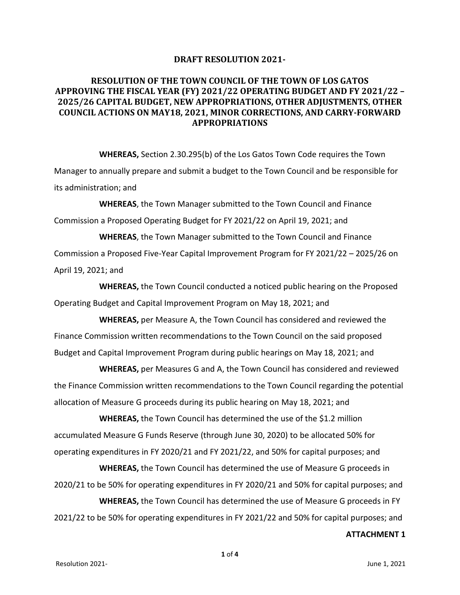### **DRAFT RESOLUTION 2021-**

# **RESOLUTION OF THE TOWN COUNCIL OF THE TOWN OF LOS GATOS APPROVING THE FISCAL YEAR (FY) 2021/22 OPERATING BUDGET AND FY 2021/22 – 2025/26 CAPITAL BUDGET, NEW APPROPRIATIONS, OTHER ADJUSTMENTS, OTHER COUNCIL ACTIONS ON MAY18, 2021, MINOR CORRECTIONS, AND CARRY-FORWARD APPROPRIATIONS**

**WHEREAS,** Section 2.30.295(b) of the Los Gatos Town Code requires the Town Manager to annually prepare and submit a budget to the Town Council and be responsible for its administration; and

**WHEREAS**, the Town Manager submitted to the Town Council and Finance Commission a Proposed Operating Budget for FY 2021/22 on April 19, 2021; and

**WHEREAS**, the Town Manager submitted to the Town Council and Finance Commission a Proposed Five-Year Capital Improvement Program for FY 2021/22 – 2025/26 on April 19, 2021; and

**WHEREAS,** the Town Council conducted a noticed public hearing on the Proposed Operating Budget and Capital Improvement Program on May 18, 2021; and

**WHEREAS,** per Measure A, the Town Council has considered and reviewed the Finance Commission written recommendations to the Town Council on the said proposed Budget and Capital Improvement Program during public hearings on May 18, 2021; and

**WHEREAS,** per Measures G and A, the Town Council has considered and reviewed the Finance Commission written recommendations to the Town Council regarding the potential allocation of Measure G proceeds during its public hearing on May 18, 2021; and

**WHEREAS, the Town Council has determined the use of the \$1.2 million** accumulated Measure G Funds Reserve (through June 30, 2020) to be allocated 50% for operating expenditures in FY 2020/21 and FY 2021/22, and 50% for capital purposes; and

**WHEREAS,** the Town Council has determined the use of Measure G proceeds in 2020/21 to be 50% for operating expenditures in FY 2020/21 and 50% for capital purposes; and

**WHEREAS,** the Town Council has determined the use of Measure G proceeds in FY 2021/22 to be 50% for operating expenditures in FY 2021/22 and 50% for capital purposes; and **ATTACHMENT 1**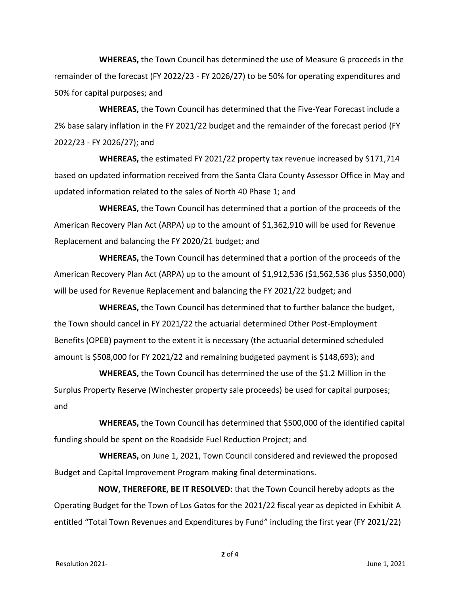**WHEREAS,** the Town Council has determined the use of Measure G proceeds in the remainder of the forecast (FY 2022/23 - FY 2026/27) to be 50% for operating expenditures and 50% for capital purposes; and

**WHEREAS,** the Town Council has determined that the Five-Year Forecast include a 2% base salary inflation in the FY 2021/22 budget and the remainder of the forecast period (FY 2022/23 - FY 2026/27); and

**WHEREAS,** the estimated FY 2021/22 property tax revenue increased by \$171,714 based on updated information received from the Santa Clara County Assessor Office in May and updated information related to the sales of North 40 Phase 1; and

**WHEREAS,** the Town Council has determined that a portion of the proceeds of the American Recovery Plan Act (ARPA) up to the amount of \$1,362,910 will be used for Revenue Replacement and balancing the FY 2020/21 budget; and

**WHEREAS,** the Town Council has determined that a portion of the proceeds of the American Recovery Plan Act (ARPA) up to the amount of \$1,912,536 (\$1,562,536 plus \$350,000) will be used for Revenue Replacement and balancing the FY 2021/22 budget; and

**WHEREAS,** the Town Council has determined that to further balance the budget, the Town should cancel in FY 2021/22 the actuarial determined Other Post-Employment Benefits (OPEB) payment to the extent it is necessary (the actuarial determined scheduled amount is \$508,000 for FY 2021/22 and remaining budgeted payment is \$148,693); and

**WHEREAS,** the Town Council has determined the use of the \$1.2 Million in the Surplus Property Reserve (Winchester property sale proceeds) be used for capital purposes; and

**WHEREAS,** the Town Council has determined that \$500,000 of the identified capital funding should be spent on the Roadside Fuel Reduction Project; and

**WHEREAS,** on June 1, 2021, Town Council considered and reviewed the proposed Budget and Capital Improvement Program making final determinations.

**NOW, THEREFORE, BE IT RESOLVED:** that the Town Council hereby adopts as the Operating Budget for the Town of Los Gatos for the 2021/22 fiscal year as depicted in Exhibit A entitled "Total Town Revenues and Expenditures by Fund" including the first year (FY 2021/22)

**2** of **4**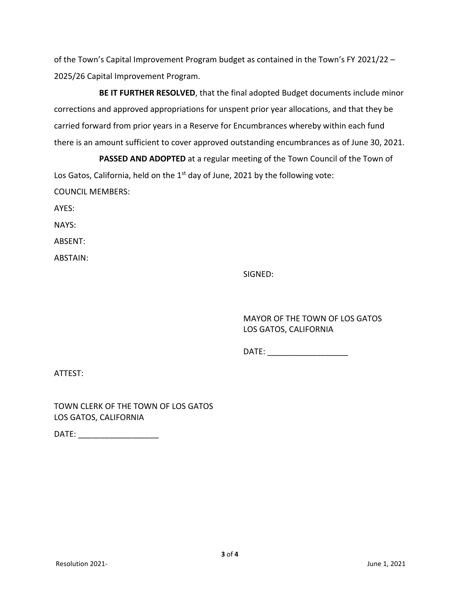of the Town's Capital Improvement Program budget as contained in the Town's FY 2021/22 – 2025/26 Capital Improvement Program.

**BE IT FURTHER RESOLVED**, that the final adopted Budget documents include minor corrections and approved appropriations for unspent prior year allocations, and that they be carried forward from prior years in a Reserve for Encumbrances whereby within each fund there is an amount sufficient to cover approved outstanding encumbrances as of June 30, 2021.

**PASSED AND ADOPTED** at a regular meeting of the Town Council of the Town of Los Gatos, California, held on the  $1<sup>st</sup>$  day of June, 2021 by the following vote: COUNCIL MEMBERS:

AYES:

NAYS:

ABSENT:

ABSTAIN:

SIGNED:

MAYOR OF THE TOWN OF LOS GATOS LOS GATOS, CALIFORNIA

DATE:  $\blacksquare$ 

ATTEST:

TOWN CLERK OF THE TOWN OF LOS GATOS LOS GATOS, CALIFORNIA

DATE:  $\blacksquare$